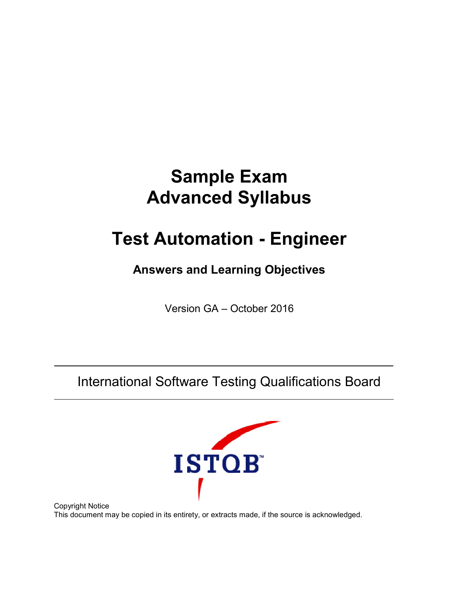# **Sample Exam Advanced Syllabus**

# **Test Automation - Engineer**

### **Answers and Learning Objectives**

Version GA – October 2016

International Software Testing Qualifications Board



Copyright Notice This document may be copied in its entirety, or extracts made, if the source is acknowledged.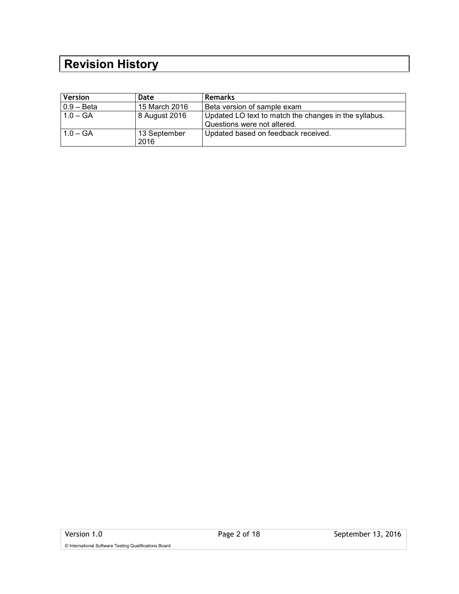## **Revision History**

| <b>Version</b> | Date                 | <b>Remarks</b>                                                                       |
|----------------|----------------------|--------------------------------------------------------------------------------------|
| $0.9 - Beta$   | 15 March 2016        | Beta version of sample exam                                                          |
| $1.0 - GA$     | 8 August 2016        | Updated LO text to match the changes in the syllabus.<br>Questions were not altered. |
| $1.0 - GA$     | 13 September<br>2016 | Updated based on feedback received.                                                  |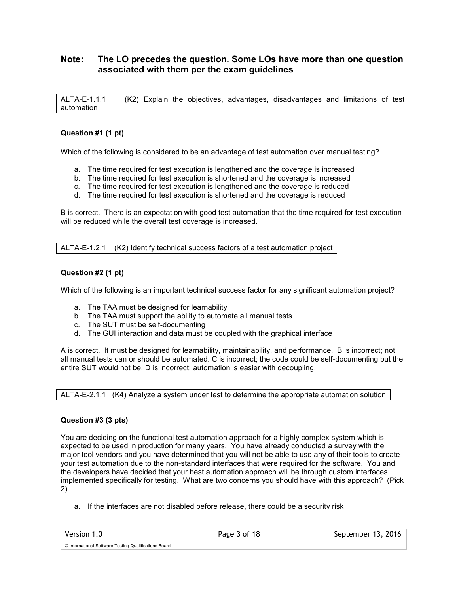### **Note: The LO precedes the question. Some LOs have more than one question associated with them per the exam guidelines**

ALTA-E-1.1.1 (K2) Explain the objectives, advantages, disadvantages and limitations of test automation

#### **Question #1 (1 pt)**

Which of the following is considered to be an advantage of test automation over manual testing?

- a. The time required for test execution is lengthened and the coverage is increased
- b. The time required for test execution is shortened and the coverage is increased
- c. The time required for test execution is lengthened and the coverage is reduced
- d. The time required for test execution is shortened and the coverage is reduced

B is correct. There is an expectation with good test automation that the time required for test execution will be reduced while the overall test coverage is increased.

ALTA-E-1.2.1 (K2) Identify technical success factors of a test automation project

#### **Question #2 (1 pt)**

Which of the following is an important technical success factor for any significant automation project?

- a. The TAA must be designed for learnability
- b. The TAA must support the ability to automate all manual tests
- c. The SUT must be self-documenting
- d. The GUI interaction and data must be coupled with the graphical interface

A is correct. It must be designed for learnability, maintainability, and performance. B is incorrect; not all manual tests can or should be automated. C is incorrect; the code could be self-documenting but the entire SUT would not be. D is incorrect; automation is easier with decoupling.

ALTA-E-2.1.1 (K4) Analyze a system under test to determine the appropriate automation solution

#### **Question #3 (3 pts)**

You are deciding on the functional test automation approach for a highly complex system which is expected to be used in production for many years. You have already conducted a survey with the major tool vendors and you have determined that you will not be able to use any of their tools to create your test automation due to the non-standard interfaces that were required for the software. You and the developers have decided that your best automation approach will be through custom interfaces implemented specifically for testing. What are two concerns you should have with this approach? (Pick 2)

a. If the interfaces are not disabled before release, there could be a security risk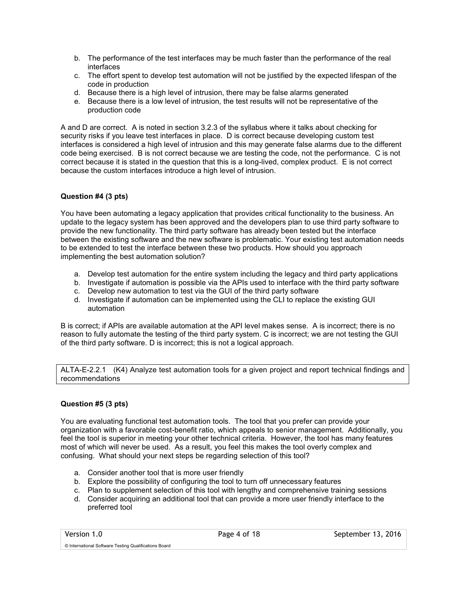- b. The performance of the test interfaces may be much faster than the performance of the real interfaces
- c. The effort spent to develop test automation will not be justified by the expected lifespan of the code in production
- d. Because there is a high level of intrusion, there may be false alarms generated
- e. Because there is a low level of intrusion, the test results will not be representative of the production code

A and D are correct. A is noted in section 3.2.3 of the syllabus where it talks about checking for security risks if you leave test interfaces in place. D is correct because developing custom test interfaces is considered a high level of intrusion and this may generate false alarms due to the different code being exercised. B is not correct because we are testing the code, not the performance. C is not correct because it is stated in the question that this is a long-lived, complex product. E is not correct because the custom interfaces introduce a high level of intrusion.

#### **Question #4 (3 pts)**

You have been automating a legacy application that provides critical functionality to the business. An update to the legacy system has been approved and the developers plan to use third party software to provide the new functionality. The third party software has already been tested but the interface between the existing software and the new software is problematic. Your existing test automation needs to be extended to test the interface between these two products. How should you approach implementing the best automation solution?

- a. Develop test automation for the entire system including the legacy and third party applications
- b. Investigate if automation is possible via the APIs used to interface with the third party software
- c. Develop new automation to test via the GUI of the third party software
- d. Investigate if automation can be implemented using the CLI to replace the existing GUI automation

B is correct; if APIs are available automation at the API level makes sense. A is incorrect; there is no reason to fully automate the testing of the third party system. C is incorrect; we are not testing the GUI of the third party software. D is incorrect; this is not a logical approach.

ALTA-E-2.2.1 (K4) Analyze test automation tools for a given project and report technical findings and recommendations

#### **Question #5 (3 pts)**

You are evaluating functional test automation tools. The tool that you prefer can provide your organization with a favorable cost-benefit ratio, which appeals to senior management. Additionally, you feel the tool is superior in meeting your other technical criteria. However, the tool has many features most of which will never be used. As a result, you feel this makes the tool overly complex and confusing. What should your next steps be regarding selection of this tool?

- a. Consider another tool that is more user friendly
- b. Explore the possibility of configuring the tool to turn off unnecessary features
- c. Plan to supplement selection of this tool with lengthy and comprehensive training sessions
- d. Consider acquiring an additional tool that can provide a more user friendly interface to the preferred tool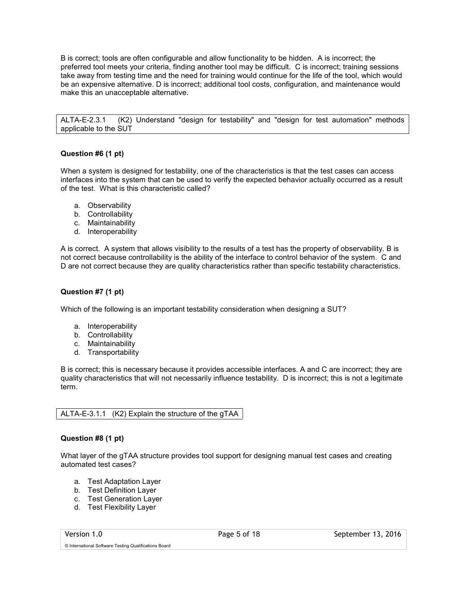B is correct; tools are often configurable and allow functionality to be hidden. A is incorrect; the preferred tool meets your criteria, finding another tool may be difficult. C is incorrect; training sessions take away from testing time and the need for training would continue for the life of the tool, which would be an expensive alternative. D is incorrect; additional tool costs, configuration, and maintenance would make this an unacceptable alternative.

ALTA-E-2.3.1 (K2) Understand "design for testability" and "design for test automation" methods applicable to the SUT

#### **Question #6 (1 pt)**

When a system is designed for testability, one of the characteristics is that the test cases can access interfaces into the system that can be used to verify the expected behavior actually occurred as a result of the test. What is this characteristic called?

- a. Observability
- b. Controllability
- c. Maintainability
- d. Interoperability

A is correct. A system that allows visibility to the results of a test has the property of observability. B is not correct because controllability is the ability of the interface to control behavior of the system. C and D are not correct because they are quality characteristics rather than specific testability characteristics.

#### **Question #7 (1 pt)**

Which of the following is an important testability consideration when designing a SUT?

- a. Interoperability
- b. Controllability
- c. Maintainability
- d. Transportability

B is correct; this is necessary because it provides accessible interfaces. A and C are incorrect; they are quality characteristics that will not necessarily influence testability. D is incorrect; this is not a legitimate term.

#### ALTA-E-3.1.1 (K2) Explain the structure of the gTAA

#### **Question #8 (1 pt)**

What layer of the gTAA structure provides tool support for designing manual test cases and creating automated test cases?

- a. Test Adaptation Layer
- b. Test Definition Layer
- c. Test Generation Layer
- d. Test Flexibility Layer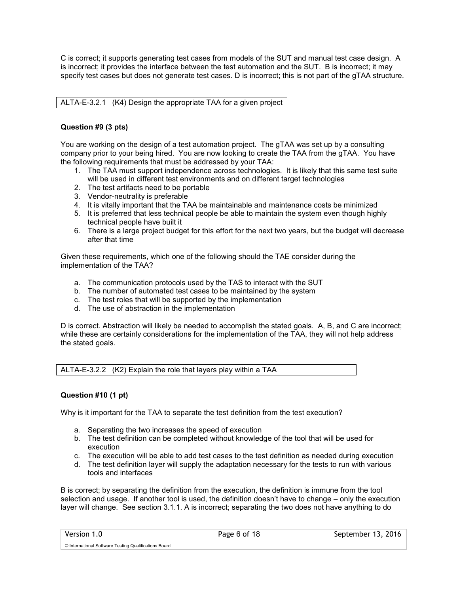C is correct; it supports generating test cases from models of the SUT and manual test case design. A is incorrect; it provides the interface between the test automation and the SUT. B is incorrect; it may specify test cases but does not generate test cases. D is incorrect; this is not part of the gTAA structure.

ALTA-E-3.2.1 (K4) Design the appropriate TAA for a given project

#### **Question #9 (3 pts)**

You are working on the design of a test automation project. The gTAA was set up by a consulting company prior to your being hired. You are now looking to create the TAA from the gTAA. You have the following requirements that must be addressed by your TAA:

- 1. The TAA must support independence across technologies. It is likely that this same test suite will be used in different test environments and on different target technologies
- 2. The test artifacts need to be portable
- 3. Vendor-neutrality is preferable
- 4. It is vitally important that the TAA be maintainable and maintenance costs be minimized
- 5. It is preferred that less technical people be able to maintain the system even though highly technical people have built it
- 6. There is a large project budget for this effort for the next two years, but the budget will decrease after that time

Given these requirements, which one of the following should the TAE consider during the implementation of the TAA?

- a. The communication protocols used by the TAS to interact with the SUT
- b. The number of automated test cases to be maintained by the system
- c. The test roles that will be supported by the implementation
- d. The use of abstraction in the implementation

D is correct. Abstraction will likely be needed to accomplish the stated goals. A, B, and C are incorrect; while these are certainly considerations for the implementation of the TAA, they will not help address the stated goals.

ALTA-E-3.2.2  $(K2)$  Explain the role that layers play within a TAA

#### **Question #10 (1 pt)**

Why is it important for the TAA to separate the test definition from the test execution?

- a. Separating the two increases the speed of execution
- b. The test definition can be completed without knowledge of the tool that will be used for execution
- c. The execution will be able to add test cases to the test definition as needed during execution
- d. The test definition layer will supply the adaptation necessary for the tests to run with various tools and interfaces

B is correct; by separating the definition from the execution, the definition is immune from the tool selection and usage. If another tool is used, the definition doesn't have to change – only the execution layer will change. See section 3.1.1. A is incorrect; separating the two does not have anything to do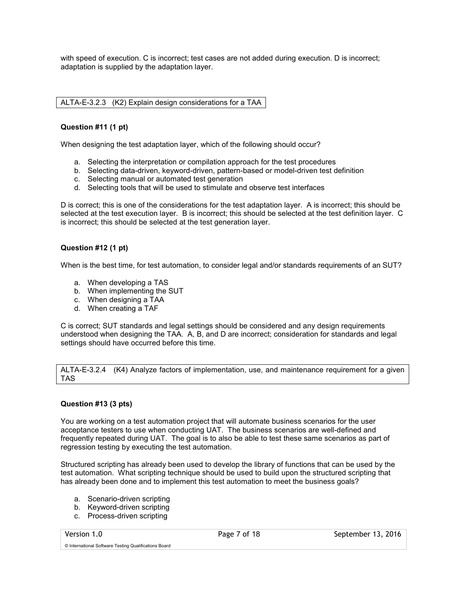with speed of execution. C is incorrect; test cases are not added during execution. D is incorrect; adaptation is supplied by the adaptation layer.

ALTA-E-3.2.3 (K2) Explain design considerations for a TAA

#### **Question #11 (1 pt)**

When designing the test adaptation layer, which of the following should occur?

- a. Selecting the interpretation or compilation approach for the test procedures
- b. Selecting data-driven, keyword-driven, pattern-based or model-driven test definition
- c. Selecting manual or automated test generation
- d. Selecting tools that will be used to stimulate and observe test interfaces

D is correct; this is one of the considerations for the test adaptation layer. A is incorrect; this should be selected at the test execution layer. B is incorrect; this should be selected at the test definition layer. C is incorrect; this should be selected at the test generation layer.

#### **Question #12 (1 pt)**

When is the best time, for test automation, to consider legal and/or standards requirements of an SUT?

- a. When developing a TAS
- b. When implementing the SUT
- c. When designing a TAA
- d. When creating a TAF

C is correct; SUT standards and legal settings should be considered and any design requirements understood when designing the TAA. A, B, and D are incorrect; consideration for standards and legal settings should have occurred before this time.

ALTA-E-3.2.4 (K4) Analyze factors of implementation, use, and maintenance requirement for a given TAS

#### **Question #13 (3 pts)**

You are working on a test automation project that will automate business scenarios for the user acceptance testers to use when conducting UAT. The business scenarios are well-defined and frequently repeated during UAT. The goal is to also be able to test these same scenarios as part of regression testing by executing the test automation.

Structured scripting has already been used to develop the library of functions that can be used by the test automation. What scripting technique should be used to build upon the structured scripting that has already been done and to implement this test automation to meet the business goals?

- a. Scenario-driven scripting
- b. Keyword-driven scripting
- c. Process-driven scripting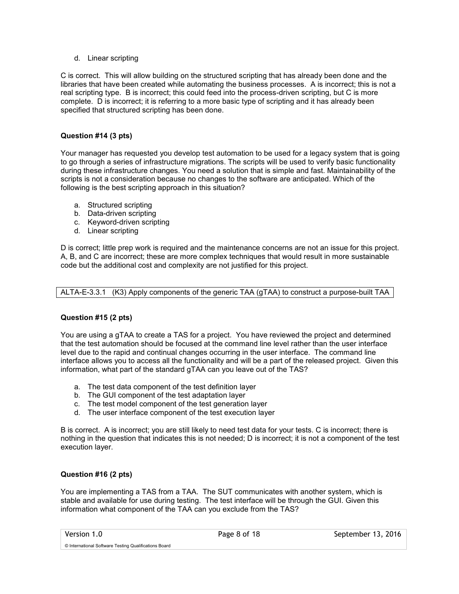#### d. Linear scripting

C is correct. This will allow building on the structured scripting that has already been done and the libraries that have been created while automating the business processes. A is incorrect; this is not a real scripting type. B is incorrect; this could feed into the process-driven scripting, but C is more complete. D is incorrect; it is referring to a more basic type of scripting and it has already been specified that structured scripting has been done.

#### **Question #14 (3 pts)**

Your manager has requested you develop test automation to be used for a legacy system that is going to go through a series of infrastructure migrations. The scripts will be used to verify basic functionality during these infrastructure changes. You need a solution that is simple and fast. Maintainability of the scripts is not a consideration because no changes to the software are anticipated. Which of the following is the best scripting approach in this situation?

- a. Structured scripting
- b. Data-driven scripting
- c. Keyword-driven scripting
- d. Linear scripting

D is correct; little prep work is required and the maintenance concerns are not an issue for this project. A, B, and C are incorrect; these are more complex techniques that would result in more sustainable code but the additional cost and complexity are not justified for this project.

ALTA-E-3.3.1 (K3) Apply components of the generic TAA (gTAA) to construct a purpose-built TAA

#### **Question #15 (2 pts)**

You are using a gTAA to create a TAS for a project. You have reviewed the project and determined that the test automation should be focused at the command line level rather than the user interface level due to the rapid and continual changes occurring in the user interface. The command line interface allows you to access all the functionality and will be a part of the released project. Given this information, what part of the standard gTAA can you leave out of the TAS?

- a. The test data component of the test definition layer
- b. The GUI component of the test adaptation layer
- c. The test model component of the test generation layer
- d. The user interface component of the test execution layer

B is correct. A is incorrect; you are still likely to need test data for your tests. C is incorrect; there is nothing in the question that indicates this is not needed; D is incorrect; it is not a component of the test execution layer.

#### **Question #16 (2 pts)**

You are implementing a TAS from a TAA. The SUT communicates with another system, which is stable and available for use during testing. The test interface will be through the GUI. Given this information what component of the TAA can you exclude from the TAS?

© International Software Testing Qualifications Board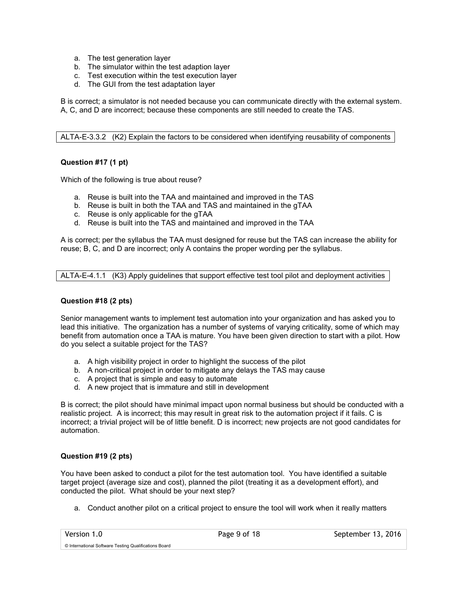- a. The test generation layer
- b. The simulator within the test adaption layer
- c. Test execution within the test execution layer
- d. The GUI from the test adaptation layer

B is correct; a simulator is not needed because you can communicate directly with the external system. A, C, and D are incorrect; because these components are still needed to create the TAS.

ALTA-E-3.3.2 (K2) Explain the factors to be considered when identifying reusability of components

#### **Question #17 (1 pt)**

Which of the following is true about reuse?

- a. Reuse is built into the TAA and maintained and improved in the TAS
- b. Reuse is built in both the TAA and TAS and maintained in the gTAA
- c. Reuse is only applicable for the gTAA
- d. Reuse is built into the TAS and maintained and improved in the TAA

A is correct; per the syllabus the TAA must designed for reuse but the TAS can increase the ability for reuse; B, C, and D are incorrect; only A contains the proper wording per the syllabus.

ALTA-E-4.1.1 (K3) Apply guidelines that support effective test tool pilot and deployment activities

#### **Question #18 (2 pts)**

Senior management wants to implement test automation into your organization and has asked you to lead this initiative. The organization has a number of systems of varying criticality, some of which may benefit from automation once a TAA is mature. You have been given direction to start with a pilot. How do you select a suitable project for the TAS?

- a. A high visibility project in order to highlight the success of the pilot
- b. A non-critical project in order to mitigate any delays the TAS may cause
- c. A project that is simple and easy to automate
- d. A new project that is immature and still in development

B is correct; the pilot should have minimal impact upon normal business but should be conducted with a realistic project. A is incorrect; this may result in great risk to the automation project if it fails. C is incorrect; a trivial project will be of little benefit. D is incorrect; new projects are not good candidates for automation.

#### **Question #19 (2 pts)**

You have been asked to conduct a pilot for the test automation tool. You have identified a suitable target project (average size and cost), planned the pilot (treating it as a development effort), and conducted the pilot. What should be your next step?

a. Conduct another pilot on a critical project to ensure the tool will work when it really matters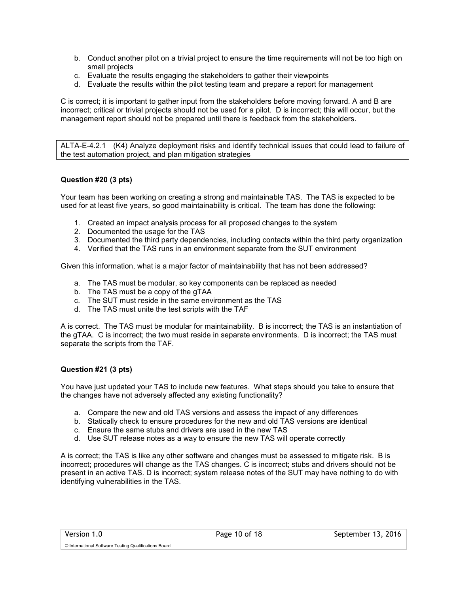- b. Conduct another pilot on a trivial project to ensure the time requirements will not be too high on small projects
- c. Evaluate the results engaging the stakeholders to gather their viewpoints
- d. Evaluate the results within the pilot testing team and prepare a report for management

C is correct; it is important to gather input from the stakeholders before moving forward. A and B are incorrect; critical or trivial projects should not be used for a pilot. D is incorrect; this will occur, but the management report should not be prepared until there is feedback from the stakeholders.

ALTA-E-4.2.1 (K4) Analyze deployment risks and identify technical issues that could lead to failure of the test automation project, and plan mitigation strategies

#### **Question #20 (3 pts)**

Your team has been working on creating a strong and maintainable TAS. The TAS is expected to be used for at least five years, so good maintainability is critical. The team has done the following:

- 1. Created an impact analysis process for all proposed changes to the system
- 2. Documented the usage for the TAS
- 3. Documented the third party dependencies, including contacts within the third party organization
- 4. Verified that the TAS runs in an environment separate from the SUT environment

Given this information, what is a major factor of maintainability that has not been addressed?

- a. The TAS must be modular, so key components can be replaced as needed
- b. The TAS must be a copy of the gTAA
- c. The SUT must reside in the same environment as the TAS
- d. The TAS must unite the test scripts with the TAF

A is correct. The TAS must be modular for maintainability. B is incorrect; the TAS is an instantiation of the gTAA. C is incorrect; the two must reside in separate environments. D is incorrect; the TAS must separate the scripts from the TAF.

#### **Question #21 (3 pts)**

You have just updated your TAS to include new features. What steps should you take to ensure that the changes have not adversely affected any existing functionality?

- a. Compare the new and old TAS versions and assess the impact of any differences
- b. Statically check to ensure procedures for the new and old TAS versions are identical
- c. Ensure the same stubs and drivers are used in the new TAS
- d. Use SUT release notes as a way to ensure the new TAS will operate correctly

A is correct; the TAS is like any other software and changes must be assessed to mitigate risk. B is incorrect; procedures will change as the TAS changes. C is incorrect; stubs and drivers should not be present in an active TAS. D is incorrect; system release notes of the SUT may have nothing to do with identifying vulnerabilities in the TAS.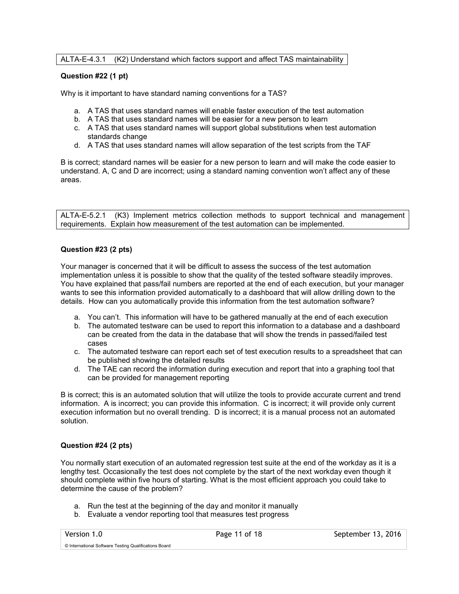#### ALTA-E-4.3.1 (K2) Understand which factors support and affect TAS maintainability

#### **Question #22 (1 pt)**

Why is it important to have standard naming conventions for a TAS?

- a. A TAS that uses standard names will enable faster execution of the test automation
- b. A TAS that uses standard names will be easier for a new person to learn
- c. A TAS that uses standard names will support global substitutions when test automation standards change
- d. A TAS that uses standard names will allow separation of the test scripts from the TAF

B is correct; standard names will be easier for a new person to learn and will make the code easier to understand. A, C and D are incorrect; using a standard naming convention won't affect any of these areas.

ALTA-E-5.2.1 (K3) Implement metrics collection methods to support technical and management requirements. Explain how measurement of the test automation can be implemented.

#### **Question #23 (2 pts)**

Your manager is concerned that it will be difficult to assess the success of the test automation implementation unless it is possible to show that the quality of the tested software steadily improves. You have explained that pass/fail numbers are reported at the end of each execution, but your manager wants to see this information provided automatically to a dashboard that will allow drilling down to the details. How can you automatically provide this information from the test automation software?

- a. You can't. This information will have to be gathered manually at the end of each execution
- b. The automated testware can be used to report this information to a database and a dashboard can be created from the data in the database that will show the trends in passed/failed test cases
- c. The automated testware can report each set of test execution results to a spreadsheet that can be published showing the detailed results
- d. The TAE can record the information during execution and report that into a graphing tool that can be provided for management reporting

B is correct; this is an automated solution that will utilize the tools to provide accurate current and trend information. A is incorrect; you can provide this information. C is incorrect; it will provide only current execution information but no overall trending. D is incorrect; it is a manual process not an automated solution.

#### **Question #24 (2 pts)**

You normally start execution of an automated regression test suite at the end of the workday as it is a lengthy test. Occasionally the test does not complete by the start of the next workday even though it should complete within five hours of starting. What is the most efficient approach you could take to determine the cause of the problem?

- a. Run the test at the beginning of the day and monitor it manually
- b. Evaluate a vendor reporting tool that measures test progress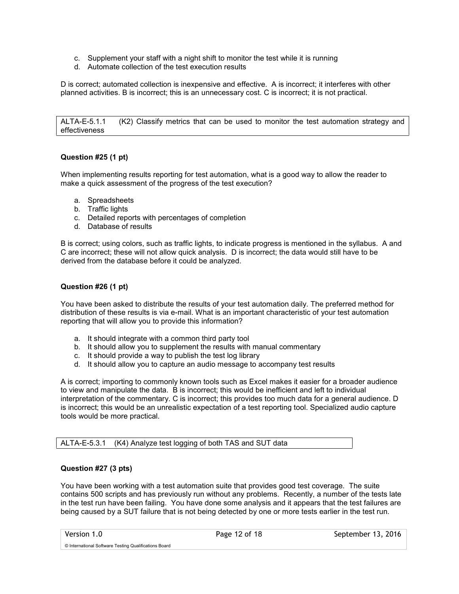- c. Supplement your staff with a night shift to monitor the test while it is running
- d. Automate collection of the test execution results

D is correct; automated collection is inexpensive and effective. A is incorrect; it interferes with other planned activities. B is incorrect; this is an unnecessary cost. C is incorrect; it is not practical.

ALTA-E-5.1.1 (K2) Classify metrics that can be used to monitor the test automation strategy and effectiveness

#### **Question #25 (1 pt)**

When implementing results reporting for test automation, what is a good way to allow the reader to make a quick assessment of the progress of the test execution?

- a. Spreadsheets
- b. Traffic lights
- c. Detailed reports with percentages of completion
- d. Database of results

B is correct; using colors, such as traffic lights, to indicate progress is mentioned in the syllabus. A and C are incorrect; these will not allow quick analysis. D is incorrect; the data would still have to be derived from the database before it could be analyzed.

#### **Question #26 (1 pt)**

You have been asked to distribute the results of your test automation daily. The preferred method for distribution of these results is via e-mail. What is an important characteristic of your test automation reporting that will allow you to provide this information?

- a. It should integrate with a common third party tool
- b. It should allow you to supplement the results with manual commentary
- c. It should provide a way to publish the test log library
- d. It should allow you to capture an audio message to accompany test results

A is correct; importing to commonly known tools such as Excel makes it easier for a broader audience to view and manipulate the data. B is incorrect; this would be inefficient and left to individual interpretation of the commentary. C is incorrect; this provides too much data for a general audience. D is incorrect; this would be an unrealistic expectation of a test reporting tool. Specialized audio capture tools would be more practical.

ALTA-E-5.3.1 (K4) Analyze test logging of both TAS and SUT data

#### **Question #27 (3 pts)**

You have been working with a test automation suite that provides good test coverage. The suite contains 500 scripts and has previously run without any problems. Recently, a number of the tests late in the test run have been failing. You have done some analysis and it appears that the test failures are being caused by a SUT failure that is not being detected by one or more tests earlier in the test run.

© International Software Testing Qualifications Board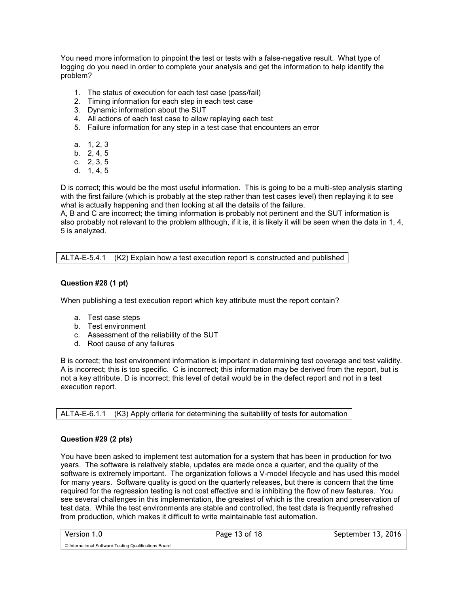You need more information to pinpoint the test or tests with a false-negative result. What type of logging do you need in order to complete your analysis and get the information to help identify the problem?

- 1. The status of execution for each test case (pass/fail)
- 2. Timing information for each step in each test case
- 3. Dynamic information about the SUT
- 4. All actions of each test case to allow replaying each test
- 5. Failure information for any step in a test case that encounters an error
- a. 1, 2, 3
- b. 2, 4, 5
- c. 2, 3, 5
- d. 1, 4, 5

D is correct; this would be the most useful information. This is going to be a multi-step analysis starting with the first failure (which is probably at the step rather than test cases level) then replaying it to see what is actually happening and then looking at all the details of the failure.

A, B and C are incorrect; the timing information is probably not pertinent and the SUT information is also probably not relevant to the problem although, if it is, it is likely it will be seen when the data in 1, 4, 5 is analyzed.

ALTA-E-5.4.1 (K2) Explain how a test execution report is constructed and published

#### **Question #28 (1 pt)**

When publishing a test execution report which key attribute must the report contain?

- a. Test case steps
- b. Test environment
- c. Assessment of the reliability of the SUT
- d. Root cause of any failures

B is correct; the test environment information is important in determining test coverage and test validity. A is incorrect; this is too specific. C is incorrect; this information may be derived from the report, but is not a key attribute. D is incorrect; this level of detail would be in the defect report and not in a test execution report.

ALTA-E-6.1.1 (K3) Apply criteria for determining the suitability of tests for automation

#### **Question #29 (2 pts)**

You have been asked to implement test automation for a system that has been in production for two years. The software is relatively stable, updates are made once a quarter, and the quality of the software is extremely important. The organization follows a V-model lifecycle and has used this model for many years. Software quality is good on the quarterly releases, but there is concern that the time required for the regression testing is not cost effective and is inhibiting the flow of new features. You see several challenges in this implementation, the greatest of which is the creation and preservation of test data. While the test environments are stable and controlled, the test data is frequently refreshed from production, which makes it difficult to write maintainable test automation.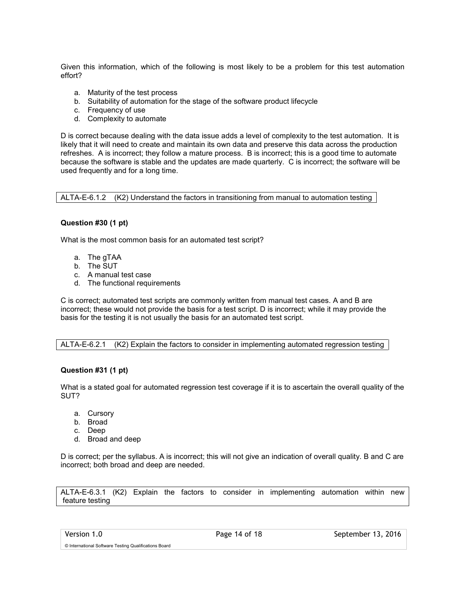Given this information, which of the following is most likely to be a problem for this test automation effort?

- a. Maturity of the test process
- b. Suitability of automation for the stage of the software product lifecycle
- c. Frequency of use
- d. Complexity to automate

D is correct because dealing with the data issue adds a level of complexity to the test automation. It is likely that it will need to create and maintain its own data and preserve this data across the production refreshes. A is incorrect; they follow a mature process. B is incorrect; this is a good time to automate because the software is stable and the updates are made quarterly. C is incorrect; the software will be used frequently and for a long time.

ALTA-E-6.1.2 (K2) Understand the factors in transitioning from manual to automation testing

#### **Question #30 (1 pt)**

What is the most common basis for an automated test script?

- a. The gTAA
- b. The SUT
- c. A manual test case
- d. The functional requirements

C is correct; automated test scripts are commonly written from manual test cases. A and B are incorrect; these would not provide the basis for a test script. D is incorrect; while it may provide the basis for the testing it is not usually the basis for an automated test script.

ALTA-E-6.2.1 (K2) Explain the factors to consider in implementing automated regression testing

#### **Question #31 (1 pt)**

What is a stated goal for automated regression test coverage if it is to ascertain the overall quality of the SUT?

- a. Cursory
- b. Broad
- c. Deep
- d. Broad and deep

D is correct; per the syllabus. A is incorrect; this will not give an indication of overall quality. B and C are incorrect; both broad and deep are needed.

ALTA-E-6.3.1 (K2) Explain the factors to consider in implementing automation within new feature testing

© International Software Testing Qualifications Board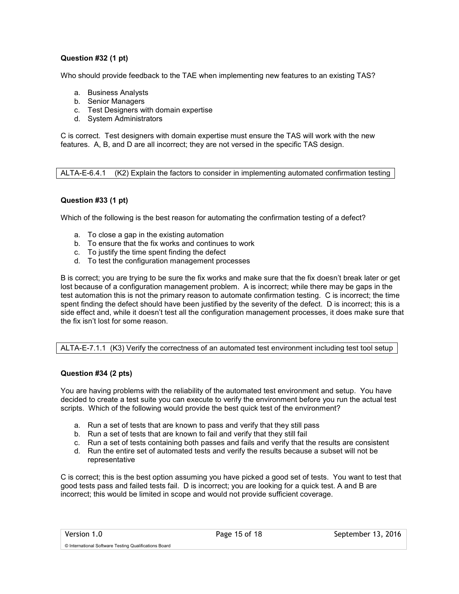#### **Question #32 (1 pt)**

Who should provide feedback to the TAE when implementing new features to an existing TAS?

- a. Business Analysts
- b. Senior Managers
- c. Test Designers with domain expertise
- d. System Administrators

C is correct. Test designers with domain expertise must ensure the TAS will work with the new features. A, B, and D are all incorrect; they are not versed in the specific TAS design.

ALTA-E-6.4.1 (K2) Explain the factors to consider in implementing automated confirmation testing

#### **Question #33 (1 pt)**

Which of the following is the best reason for automating the confirmation testing of a defect?

- a. To close a gap in the existing automation
- b. To ensure that the fix works and continues to work
- c. To justify the time spent finding the defect
- d. To test the configuration management processes

B is correct; you are trying to be sure the fix works and make sure that the fix doesn't break later or get lost because of a configuration management problem. A is incorrect; while there may be gaps in the test automation this is not the primary reason to automate confirmation testing. C is incorrect; the time spent finding the defect should have been justified by the severity of the defect. D is incorrect; this is a side effect and, while it doesn't test all the configuration management processes, it does make sure that the fix isn't lost for some reason.

ALTA-E-7.1.1 (K3) Verify the correctness of an automated test environment including test tool setup

#### **Question #34 (2 pts)**

You are having problems with the reliability of the automated test environment and setup. You have decided to create a test suite you can execute to verify the environment before you run the actual test scripts. Which of the following would provide the best quick test of the environment?

- a. Run a set of tests that are known to pass and verify that they still pass
- b. Run a set of tests that are known to fail and verify that they still fail
- c. Run a set of tests containing both passes and fails and verify that the results are consistent
- d. Run the entire set of automated tests and verify the results because a subset will not be representative

C is correct; this is the best option assuming you have picked a good set of tests. You want to test that good tests pass and failed tests fail. D is incorrect; you are looking for a quick test. A and B are incorrect; this would be limited in scope and would not provide sufficient coverage.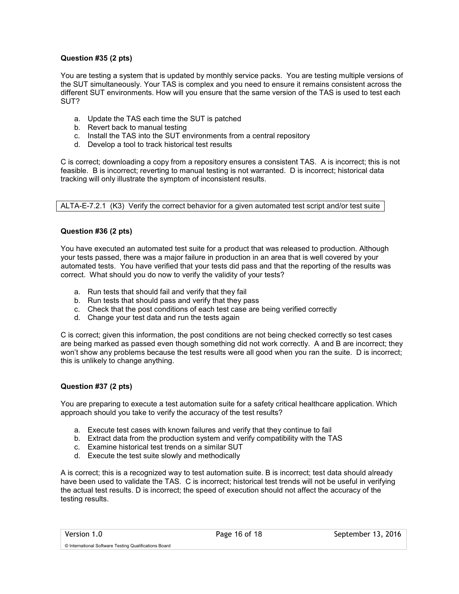#### **Question #35 (2 pts)**

You are testing a system that is updated by monthly service packs. You are testing multiple versions of the SUT simultaneously. Your TAS is complex and you need to ensure it remains consistent across the different SUT environments. How will you ensure that the same version of the TAS is used to test each SUT?

- a. Update the TAS each time the SUT is patched
- b. Revert back to manual testing
- c. Install the TAS into the SUT environments from a central repository
- d. Develop a tool to track historical test results

C is correct; downloading a copy from a repository ensures a consistent TAS. A is incorrect; this is not feasible. B is incorrect; reverting to manual testing is not warranted. D is incorrect; historical data tracking will only illustrate the symptom of inconsistent results.

ALTA-E-7.2.1 (K3) Verify the correct behavior for a given automated test script and/or test suite

#### **Question #36 (2 pts)**

You have executed an automated test suite for a product that was released to production. Although your tests passed, there was a major failure in production in an area that is well covered by your automated tests. You have verified that your tests did pass and that the reporting of the results was correct. What should you do now to verify the validity of your tests?

- a. Run tests that should fail and verify that they fail
- b. Run tests that should pass and verify that they pass
- c. Check that the post conditions of each test case are being verified correctly
- d. Change your test data and run the tests again

C is correct; given this information, the post conditions are not being checked correctly so test cases are being marked as passed even though something did not work correctly. A and B are incorrect; they won't show any problems because the test results were all good when you ran the suite. D is incorrect; this is unlikely to change anything.

#### **Question #37 (2 pts)**

You are preparing to execute a test automation suite for a safety critical healthcare application. Which approach should you take to verify the accuracy of the test results?

- a. Execute test cases with known failures and verify that they continue to fail
- b. Extract data from the production system and verify compatibility with the TAS
- c. Examine historical test trends on a similar SUT
- d. Execute the test suite slowly and methodically

A is correct; this is a recognized way to test automation suite. B is incorrect; test data should already have been used to validate the TAS. C is incorrect; historical test trends will not be useful in verifying the actual test results. D is incorrect; the speed of execution should not affect the accuracy of the testing results.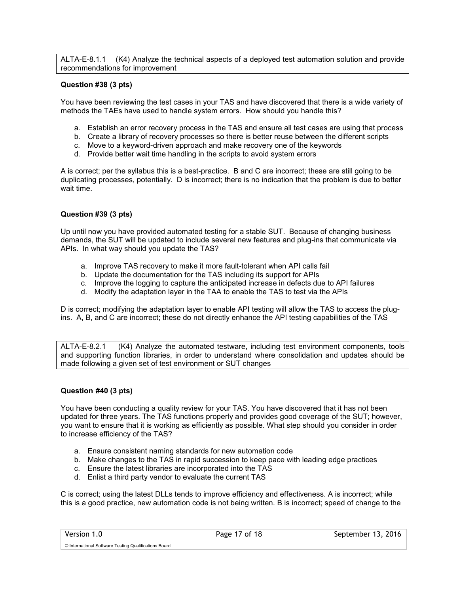ALTA-E-8.1.1 (K4) Analyze the technical aspects of a deployed test automation solution and provide recommendations for improvement

#### **Question #38 (3 pts)**

You have been reviewing the test cases in your TAS and have discovered that there is a wide variety of methods the TAEs have used to handle system errors. How should you handle this?

- a. Establish an error recovery process in the TAS and ensure all test cases are using that process
- b. Create a library of recovery processes so there is better reuse between the different scripts
- c. Move to a keyword-driven approach and make recovery one of the keywords
- d. Provide better wait time handling in the scripts to avoid system errors

A is correct; per the syllabus this is a best-practice. B and C are incorrect; these are still going to be duplicating processes, potentially. D is incorrect; there is no indication that the problem is due to better wait time.

#### **Question #39 (3 pts)**

Up until now you have provided automated testing for a stable SUT. Because of changing business demands, the SUT will be updated to include several new features and plug-ins that communicate via APIs. In what way should you update the TAS?

- a. Improve TAS recovery to make it more fault-tolerant when API calls fail
- b. Update the documentation for the TAS including its support for APIs
- c. Improve the logging to capture the anticipated increase in defects due to API failures
- d. Modify the adaptation layer in the TAA to enable the TAS to test via the APIs

D is correct; modifying the adaptation layer to enable API testing will allow the TAS to access the plugins. A, B, and C are incorrect; these do not directly enhance the API testing capabilities of the TAS

ALTA-E-8.2.1 (K4) Analyze the automated testware, including test environment components, tools and supporting function libraries, in order to understand where consolidation and updates should be made following a given set of test environment or SUT changes

#### **Question #40 (3 pts)**

You have been conducting a quality review for your TAS. You have discovered that it has not been updated for three years. The TAS functions properly and provides good coverage of the SUT; however, you want to ensure that it is working as efficiently as possible. What step should you consider in order to increase efficiency of the TAS?

- a. Ensure consistent naming standards for new automation code
- b. Make changes to the TAS in rapid succession to keep pace with leading edge practices
- c. Ensure the latest libraries are incorporated into the TAS
- d. Enlist a third party vendor to evaluate the current TAS

C is correct; using the latest DLLs tends to improve efficiency and effectiveness. A is incorrect; while this is a good practice, new automation code is not being written. B is incorrect; speed of change to the